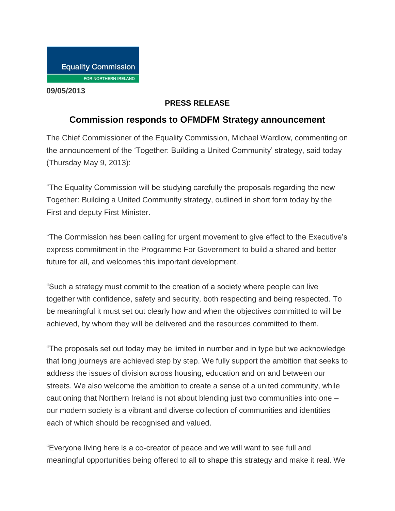**09/05/2013**

## **PRESS RELEASE**

## **Commission responds to OFMDFM Strategy announcement**

The Chief Commissioner of the Equality Commission, Michael Wardlow, commenting on the announcement of the 'Together: Building a United Community' strategy, said today (Thursday May 9, 2013):

"The Equality Commission will be studying carefully the proposals regarding the new Together: Building a United Community strategy, outlined in short form today by the First and deputy First Minister.

"The Commission has been calling for urgent movement to give effect to the Executive's express commitment in the Programme For Government to build a shared and better future for all, and welcomes this important development.

"Such a strategy must commit to the creation of a society where people can live together with confidence, safety and security, both respecting and being respected. To be meaningful it must set out clearly how and when the objectives committed to will be achieved, by whom they will be delivered and the resources committed to them.

"The proposals set out today may be limited in number and in type but we acknowledge that long journeys are achieved step by step. We fully support the ambition that seeks to address the issues of division across housing, education and on and between our streets. We also welcome the ambition to create a sense of a united community, while cautioning that Northern Ireland is not about blending just two communities into one – our modern society is a vibrant and diverse collection of communities and identities each of which should be recognised and valued.

"Everyone living here is a co-creator of peace and we will want to see full and meaningful opportunities being offered to all to shape this strategy and make it real. We